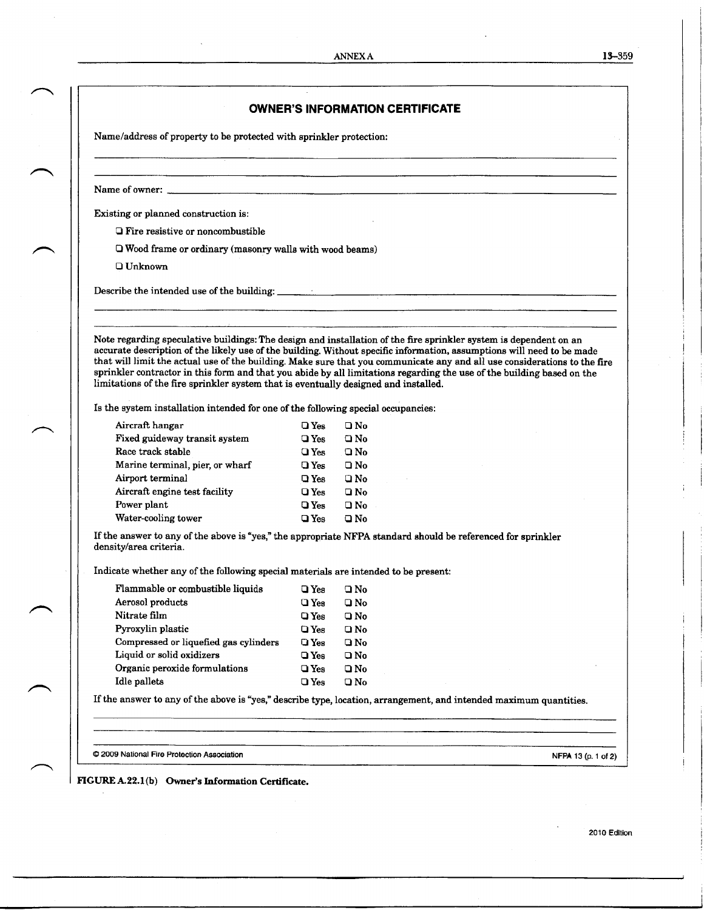$\bar{z}$ 

|                                                                                     |                  | <b>OWNER'S INFORMATION CERTIFICATE</b>                                                                                                                                                                                                                                                                                                                                                                                                                                                             |  |
|-------------------------------------------------------------------------------------|------------------|----------------------------------------------------------------------------------------------------------------------------------------------------------------------------------------------------------------------------------------------------------------------------------------------------------------------------------------------------------------------------------------------------------------------------------------------------------------------------------------------------|--|
| Name/address of property to be protected with sprinkler protection:                 |                  |                                                                                                                                                                                                                                                                                                                                                                                                                                                                                                    |  |
|                                                                                     |                  |                                                                                                                                                                                                                                                                                                                                                                                                                                                                                                    |  |
| Existing or planned construction is:                                                |                  |                                                                                                                                                                                                                                                                                                                                                                                                                                                                                                    |  |
| $\Box$ Fire resistive or noncombustible                                             |                  |                                                                                                                                                                                                                                                                                                                                                                                                                                                                                                    |  |
| $\Box$ Wood frame or ordinary (masonry walls with wood beams)                       |                  |                                                                                                                                                                                                                                                                                                                                                                                                                                                                                                    |  |
| $\Box$ Unknown                                                                      |                  |                                                                                                                                                                                                                                                                                                                                                                                                                                                                                                    |  |
|                                                                                     |                  |                                                                                                                                                                                                                                                                                                                                                                                                                                                                                                    |  |
|                                                                                     |                  | Describe the intended use of the building:                                                                                                                                                                                                                                                                                                                                                                                                                                                         |  |
|                                                                                     |                  |                                                                                                                                                                                                                                                                                                                                                                                                                                                                                                    |  |
| limitations of the fire sprinkler system that is eventually designed and installed. |                  | Note regarding speculative buildings: The design and installation of the fire sprinkler system is dependent on an<br>accurate description of the likely use of the building. Without specific information, assumptions will need to be made<br>that will limit the actual use of the building. Make sure that you communicate any and all use considerations to the fire<br>sprinkler contractor in this form and that you abide by all limitations regarding the use of the building based on the |  |
| Is the system installation intended for one of the following special occupancies:   |                  |                                                                                                                                                                                                                                                                                                                                                                                                                                                                                                    |  |
| Aircraft hangar                                                                     | $\square$ Yes    | $\square$ No                                                                                                                                                                                                                                                                                                                                                                                                                                                                                       |  |
| Fixed guideway transit system                                                       | $\square$ Yes    | $\Box$ No                                                                                                                                                                                                                                                                                                                                                                                                                                                                                          |  |
| Race track stable                                                                   | $\square$ Yes    | $\square$ No                                                                                                                                                                                                                                                                                                                                                                                                                                                                                       |  |
| Marine terminal, pier, or wharf                                                     | $\square$ Yes    | $\square$ No                                                                                                                                                                                                                                                                                                                                                                                                                                                                                       |  |
| Airport terminal                                                                    | $\square$ Yes    | $\Box$ No                                                                                                                                                                                                                                                                                                                                                                                                                                                                                          |  |
| Aircraft engine test facility                                                       | $Q$ Yes          | $\square$ No                                                                                                                                                                                                                                                                                                                                                                                                                                                                                       |  |
| Power plant                                                                         | $\square$ Yes    | $\square$ No                                                                                                                                                                                                                                                                                                                                                                                                                                                                                       |  |
| Water-cooling tower                                                                 | $\square$ Yes    | $\Box$ No                                                                                                                                                                                                                                                                                                                                                                                                                                                                                          |  |
| density/area criteria.                                                              |                  | If the answer to any of the above is "yes," the appropriate NFPA standard should be referenced for sprinkler                                                                                                                                                                                                                                                                                                                                                                                       |  |
| Indicate whether any of the following special materials are intended to be present: |                  |                                                                                                                                                                                                                                                                                                                                                                                                                                                                                                    |  |
| Flammable or combustible liquids                                                    | $QY_{es}$ $QN_0$ |                                                                                                                                                                                                                                                                                                                                                                                                                                                                                                    |  |
| Aerosol products                                                                    | $\square$ Yes    | $\square$ No                                                                                                                                                                                                                                                                                                                                                                                                                                                                                       |  |
| Nitrate film                                                                        | $Q$ Yes          | $\square$ No                                                                                                                                                                                                                                                                                                                                                                                                                                                                                       |  |
| Pyroxylin plastic                                                                   | $\square$ Yes    | $\square$ No                                                                                                                                                                                                                                                                                                                                                                                                                                                                                       |  |
| Compressed or liquefied gas cylinders                                               | $\square$ Yes    | $\square$ No                                                                                                                                                                                                                                                                                                                                                                                                                                                                                       |  |
| Liquid or solid oxidizers                                                           | $\square$ Yes    | $\square$ No                                                                                                                                                                                                                                                                                                                                                                                                                                                                                       |  |
| Organic peroxide formulations                                                       | $\square$ Yes    | $\square$ No                                                                                                                                                                                                                                                                                                                                                                                                                                                                                       |  |
| Idle pallets                                                                        | $\n  Yes\n$      | $Q$ No                                                                                                                                                                                                                                                                                                                                                                                                                                                                                             |  |
|                                                                                     |                  | If the answer to any of the above is "yes," describe type, location, arrangement, and intended maximum quantities.                                                                                                                                                                                                                                                                                                                                                                                 |  |
|                                                                                     |                  |                                                                                                                                                                                                                                                                                                                                                                                                                                                                                                    |  |
|                                                                                     |                  |                                                                                                                                                                                                                                                                                                                                                                                                                                                                                                    |  |

2010 Edition